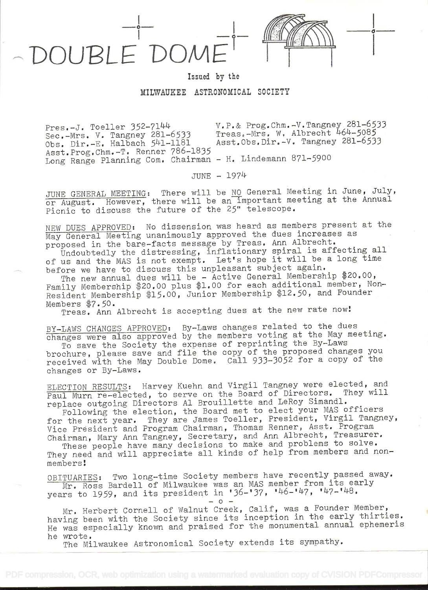

## Issued by the

## MILWAUKEE ASTRONOMICAL SOCIETY

Pres.-J. Toeller 352-7144 v.P.& Prog.Chm.-V.Tangney 281-6533<br>Sec.-Mrs. V. Tangney 281-6533 Treas.-Mrs. W. Albrecht 464-5085 Treas.-Mrs. W. Albrecht 464-5085<br>Asst.Obs.Dir.-V. Tangney 281-6533 Obs. Dir. $-E$ . Halbach  $541-1181$ Asst.Prog.Chm.-T. Renner 786-1835 Long Range Planning Com. Chairman - H. Lindemann 871-5900

JUNE - l974'

JUNE GENERAL MEETING: There will be NO General Meeting in June, July, or August. However, there will be an important meeting at the Annual Picnic to discuss the future of the 25" telescope.

NEW DUES APPROVED: No dissension was heard as members present at the May General Meeting unanimously approved the dues increases as proposed in the bare-facts message by Treas. Ann Albrecht.

Undoubtedly the distressing, inflationary spiral is affecting all of us and the MAS is not exempt. Let's hope it will be a long time before we have to discuss this unpleasant subject again.

The new annual dues will be - Active General Membership \$20.00, Family Membership \$20.00 plus \$1.00 for each additional member, Non-Resident Membership \$15.00, Junior Membership \$12.50, and Founder<br>Members \$7.50.

Members \$7.50.<br>Treas. Ann Albrecht is accepting dues at the new rate now!

BY-LAWS CHANGES APPROVED: By-Laws changes related to the dues changes were also approved by the members voting at the May meeting.

To save the Society the expense of reprinting the By-Laws brochure, please save and file the copy of the proposed changes you received with the May Double Dome. Call 933-3052 for a copy of the changes or By-Laws.

ELECTION RESULTS: Harvey Kuehn and Virgil Tangney were elected, and Paul Murn re-elected, to serve on the Board of Directors. They will replace outgoing Directors Al Brouillette and LeRoy Simandl.

Following the election, the Board met to elect your MAS officers for the next year. They are James Toeller, President, Virgil Tangney, Vice President and Program Chairman, Thomas Renner, Asst. Program Chairman, Mary Ann Tangney, Secretary, and Ann Albrecht, Treasurer.

These people have many decisions to make and problems to solve. They need and will appreciate all kinds of help from members and nonmembers!

OBITUARIES: Two long-time Society members have recently passed away. Mr. Ross Bardell of Milwaukee was an MAS member from its early years to 1959, and its president in '36-'37, '46-'47, '47-'48.

 $-0-$ 

Mr, Herbert Cornell of Walnut Creek, Calif, was a Founder Member, having been with the Society since its inception in the early thirties. He was especially known and praised for the monumental annual ephemeris he wrote.

The Milwaukee Astronomical Society extends its sympathy.